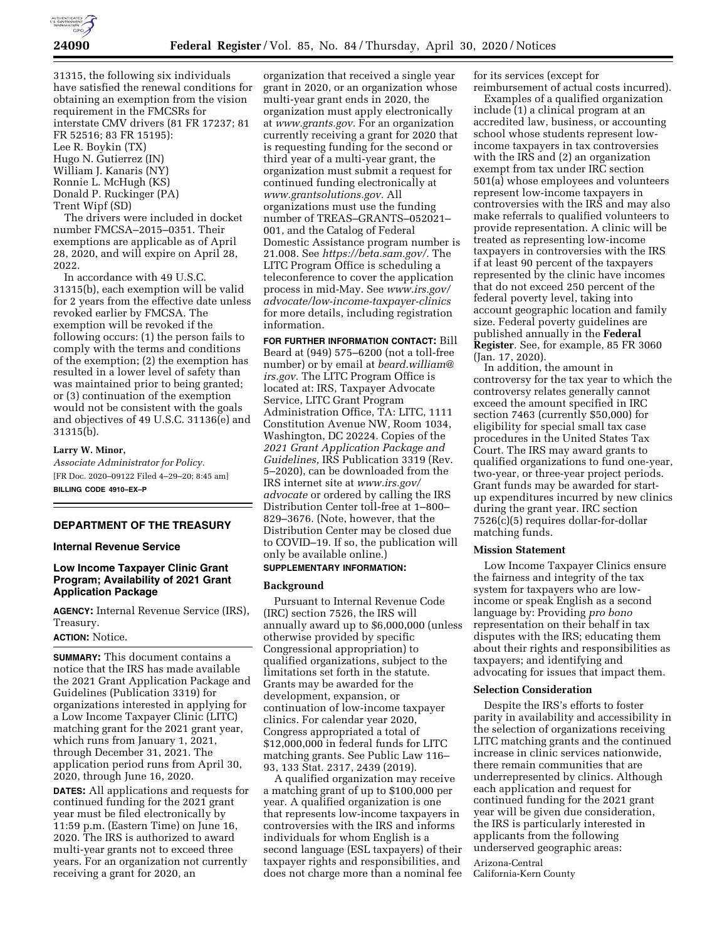

31315, the following six individuals have satisfied the renewal conditions for obtaining an exemption from the vision requirement in the FMCSRs for interstate CMV drivers (81 FR 17237; 81 FR 52516; 83 FR 15195): Lee R. Boykin (TX) Hugo N. Gutierrez (IN) William J. Kanaris (NY) Ronnie L. McHugh (KS) Donald P. Ruckinger (PA) Trent Wipf (SD)

The drivers were included in docket number FMCSA–2015–0351. Their exemptions are applicable as of April 28, 2020, and will expire on April 28, 2022.

In accordance with 49 U.S.C. 31315(b), each exemption will be valid for 2 years from the effective date unless revoked earlier by FMCSA. The exemption will be revoked if the following occurs: (1) the person fails to comply with the terms and conditions of the exemption; (2) the exemption has resulted in a lower level of safety than was maintained prior to being granted; or (3) continuation of the exemption would not be consistent with the goals and objectives of 49 U.S.C. 31136(e) and 31315(b).

## **Larry W. Minor,**

*Associate Administrator for Policy.*  [FR Doc. 2020–09122 Filed 4–29–20; 8:45 am] **BILLING CODE 4910–EX–P** 

## **DEPARTMENT OF THE TREASURY**

### **Internal Revenue Service**

# **Low Income Taxpayer Clinic Grant Program; Availability of 2021 Grant Application Package**

**AGENCY:** Internal Revenue Service (IRS), Treasury.

## **ACTION:** Notice.

**SUMMARY:** This document contains a notice that the IRS has made available the 2021 Grant Application Package and Guidelines (Publication 3319) for organizations interested in applying for a Low Income Taxpayer Clinic (LITC) matching grant for the 2021 grant year, which runs from January 1, 2021, through December 31, 2021. The application period runs from April 30, 2020, through June 16, 2020.

**DATES:** All applications and requests for continued funding for the 2021 grant year must be filed electronically by 11:59 p.m. (Eastern Time) on June 16, 2020. The IRS is authorized to award multi-year grants not to exceed three years. For an organization not currently receiving a grant for 2020, an

organization that received a single year grant in 2020, or an organization whose multi-year grant ends in 2020, the organization must apply electronically at *www.grants.gov.* For an organization currently receiving a grant for 2020 that is requesting funding for the second or third year of a multi-year grant, the organization must submit a request for continued funding electronically at *www.grantsolutions.gov.* All organizations must use the funding number of TREAS–GRANTS–052021– 001, and the Catalog of Federal Domestic Assistance program number is 21.008. See *https://beta.sam.gov/.* The LITC Program Office is scheduling a teleconference to cover the application process in mid-May. See *www.irs.gov/ advocate/low-income-taxpayer-clinics*  for more details, including registration information.

**FOR FURTHER INFORMATION CONTACT:** Bill Beard at (949) 575–6200 (not a toll-free number) or by email at *beard.william@ irs.gov.* The LITC Program Office is located at: IRS, Taxpayer Advocate Service, LITC Grant Program Administration Office, TA: LITC, 1111 Constitution Avenue NW, Room 1034, Washington, DC 20224. Copies of the *2021 Grant Application Package and Guidelines,* IRS Publication 3319 (Rev. 5–2020), can be downloaded from the IRS internet site at *www.irs.gov/ advocate* or ordered by calling the IRS Distribution Center toll-free at 1–800– 829–3676. (Note, however, that the Distribution Center may be closed due to COVID–19. If so, the publication will only be available online.)

# **SUPPLEMENTARY INFORMATION:**

## **Background**

Pursuant to Internal Revenue Code (IRC) section 7526, the IRS will annually award up to \$6,000,000 (unless otherwise provided by specific Congressional appropriation) to qualified organizations, subject to the limitations set forth in the statute. Grants may be awarded for the development, expansion, or continuation of low-income taxpayer clinics. For calendar year 2020, Congress appropriated a total of \$12,000,000 in federal funds for LITC matching grants. See Public Law 116– 93, 133 Stat. 2317, 2439 (2019).

A qualified organization may receive a matching grant of up to \$100,000 per year. A qualified organization is one that represents low-income taxpayers in controversies with the IRS and informs individuals for whom English is a second language (ESL taxpayers) of their taxpayer rights and responsibilities, and does not charge more than a nominal fee for its services (except for reimbursement of actual costs incurred).

Examples of a qualified organization include (1) a clinical program at an accredited law, business, or accounting school whose students represent lowincome taxpayers in tax controversies with the IRS and (2) an organization exempt from tax under IRC section 501(a) whose employees and volunteers represent low-income taxpayers in controversies with the IRS and may also make referrals to qualified volunteers to provide representation. A clinic will be treated as representing low-income taxpayers in controversies with the IRS if at least 90 percent of the taxpayers represented by the clinic have incomes that do not exceed 250 percent of the federal poverty level, taking into account geographic location and family size. Federal poverty guidelines are published annually in the **Federal Register**. See, for example, 85 FR 3060 (Jan. 17, 2020).

In addition, the amount in controversy for the tax year to which the controversy relates generally cannot exceed the amount specified in IRC section 7463 (currently \$50,000) for eligibility for special small tax case procedures in the United States Tax Court. The IRS may award grants to qualified organizations to fund one-year, two-year, or three-year project periods. Grant funds may be awarded for startup expenditures incurred by new clinics during the grant year. IRC section 7526(c)(5) requires dollar-for-dollar matching funds.

#### **Mission Statement**

Low Income Taxpayer Clinics ensure the fairness and integrity of the tax system for taxpayers who are lowincome or speak English as a second language by: Providing *pro bono*  representation on their behalf in tax disputes with the IRS; educating them about their rights and responsibilities as taxpayers; and identifying and advocating for issues that impact them.

### **Selection Consideration**

Despite the IRS's efforts to foster parity in availability and accessibility in the selection of organizations receiving LITC matching grants and the continued increase in clinic services nationwide, there remain communities that are underrepresented by clinics. Although each application and request for continued funding for the 2021 grant year will be given due consideration, the IRS is particularly interested in applicants from the following underserved geographic areas:

Arizona-Central California-Kern County